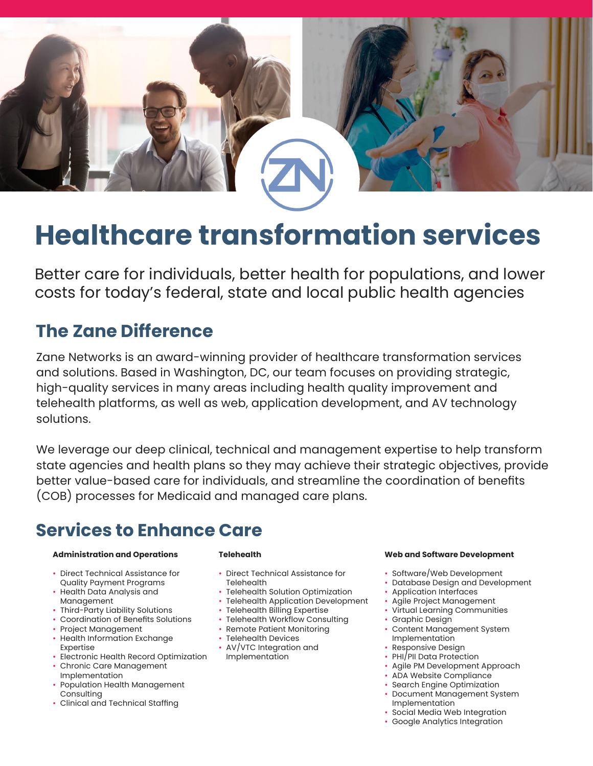

# **Healthcare transformation services**

Better care for individuals, better health for populations, and lower costs for today's federal, state and local public health agencies

### **The Zane Difference**

Zane Networks is an award-winning provider of healthcare transformation services and solutions. Based in Washington, DC, our team focuses on providing strategic, high-quality services in many areas including health quality improvement and telehealth platforms, as well as web, application development, and AV technology solutions.

We leverage our deep clinical, technical and management expertise to help transform state agencies and health plans so they may achieve their strategic objectives, provide better value-based care for individuals, and streamline the coordination of benefits (COB) processes for Medicaid and managed care plans.

# **Services to Enhance Care**

#### **Administration and Operations**

- Direct Technical Assistance for Quality Payment Programs
- Health Data Analysis and Management
- Third-Party Liability Solutions
- Coordination of Benefits Solutions
- Project Management
- Health Information Exchange Expertise
- Electronic Health Record Optimization
- Chronic Care Management Implementation
- Population Health Management Consulting
- Clinical and Technical Staffing

#### **Telehealth**

- Direct Technical Assistance for **Telehealth**
- Telehealth Solution Optimization
- Telehealth Application Development
- Telehealth Billing Expertise
- Telehealth Workflow Consulting
- Remote Patient Monitoring
- Telehealth Devices
- AV/VTC Integration and Implementation

#### **Web and Software Development**

- Software/Web Development
- Database Design and Development
- Application Interfaces
- Agile Project Management
- Virtual Learning Communities
- Graphic Design
- Content Management System Implementation
- Responsive Design
- PHI/PII Data Protection
- Agile PM Development Approach
- ADA Website Compliance
- Search Engine Optimization
- Document Management System Implementation
- Social Media Web Integration
- Google Analytics Integration